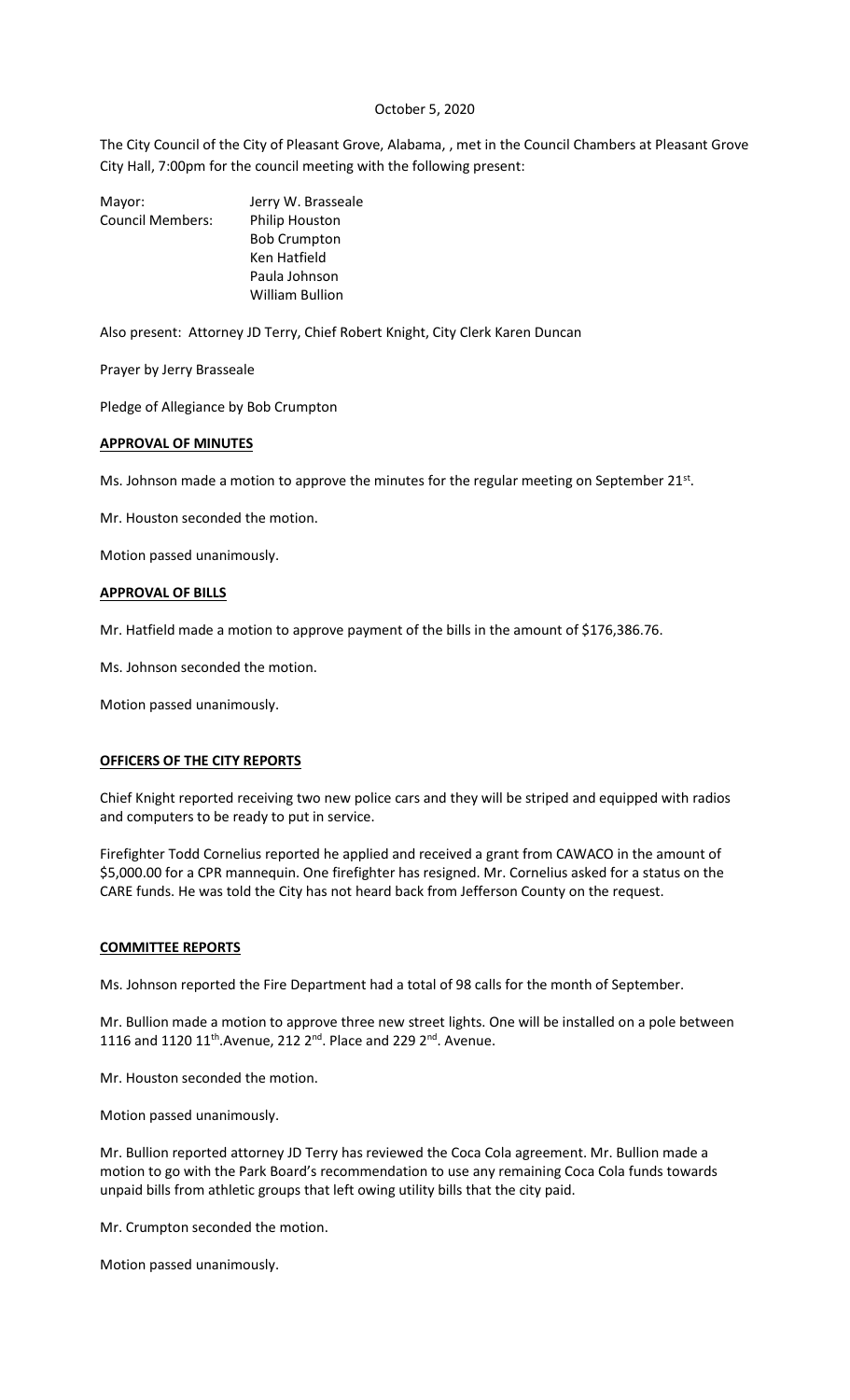### October 5, 2020

The City Council of the City of Pleasant Grove, Alabama, , met in the Council Chambers at Pleasant Grove City Hall, 7:00pm for the council meeting with the following present:

| Mayor:                  | Jerry W. Brasseale    |
|-------------------------|-----------------------|
| <b>Council Members:</b> | <b>Philip Houston</b> |
|                         | <b>Bob Crumpton</b>   |
|                         | Ken Hatfield          |
|                         | Paula Johnson         |
|                         | William Bullion       |

Also present: Attorney JD Terry, Chief Robert Knight, City Clerk Karen Duncan

Prayer by Jerry Brasseale

Pledge of Allegiance by Bob Crumpton

## **APPROVAL OF MINUTES**

Ms. Johnson made a motion to approve the minutes for the regular meeting on September 21 $st$ .

Mr. Houston seconded the motion.

Motion passed unanimously.

### **APPROVAL OF BILLS**

Mr. Hatfield made a motion to approve payment of the bills in the amount of \$176,386.76.

Ms. Johnson seconded the motion.

Motion passed unanimously.

#### **OFFICERS OF THE CITY REPORTS**

Chief Knight reported receiving two new police cars and they will be striped and equipped with radios and computers to be ready to put in service.

Firefighter Todd Cornelius reported he applied and received a grant from CAWACO in the amount of \$5,000.00 for a CPR mannequin. One firefighter has resigned. Mr. Cornelius asked for a status on the CARE funds. He was told the City has not heard back from Jefferson County on the request.

#### **COMMITTEE REPORTS**

Ms. Johnson reported the Fire Department had a total of 98 calls for the month of September.

Mr. Bullion made a motion to approve three new street lights. One will be installed on a pole between 1116 and 1120  $11^{th}$ . Avenue, 212  $2^{nd}$ . Place and 229  $2^{nd}$ . Avenue.

Mr. Houston seconded the motion.

Motion passed unanimously.

Mr. Bullion reported attorney JD Terry has reviewed the Coca Cola agreement. Mr. Bullion made a motion to go with the Park Board's recommendation to use any remaining Coca Cola funds towards unpaid bills from athletic groups that left owing utility bills that the city paid.

Mr. Crumpton seconded the motion.

Motion passed unanimously.